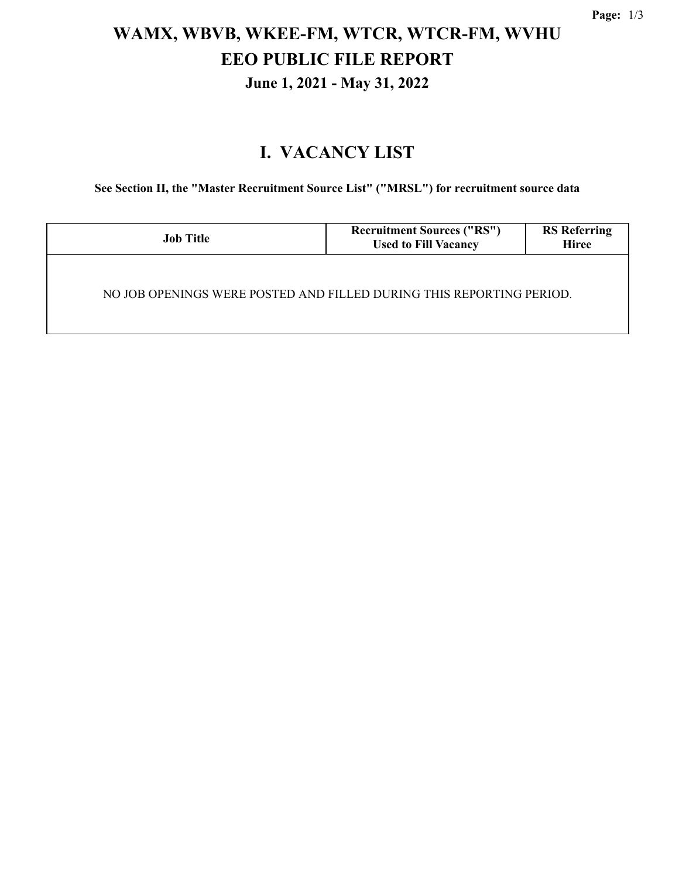# **WAMX, WBVB, WKEE-FM, WTCR, WTCR-FM, WVHU EEO PUBLIC FILE REPORT June 1, 2021 - May 31, 2022**

### **I. VACANCY LIST**

**See Section II, the "Master Recruitment Source List" ("MRSL") for recruitment source data**

| <b>Job Title</b>                                                     | <b>Recruitment Sources ("RS")</b><br><b>Used to Fill Vacancy</b> | <b>RS</b> Referring<br><b>Hiree</b> |  |  |  |
|----------------------------------------------------------------------|------------------------------------------------------------------|-------------------------------------|--|--|--|
| NO JOB OPENINGS WERE POSTED AND FILLED DURING THIS REPORTING PERIOD. |                                                                  |                                     |  |  |  |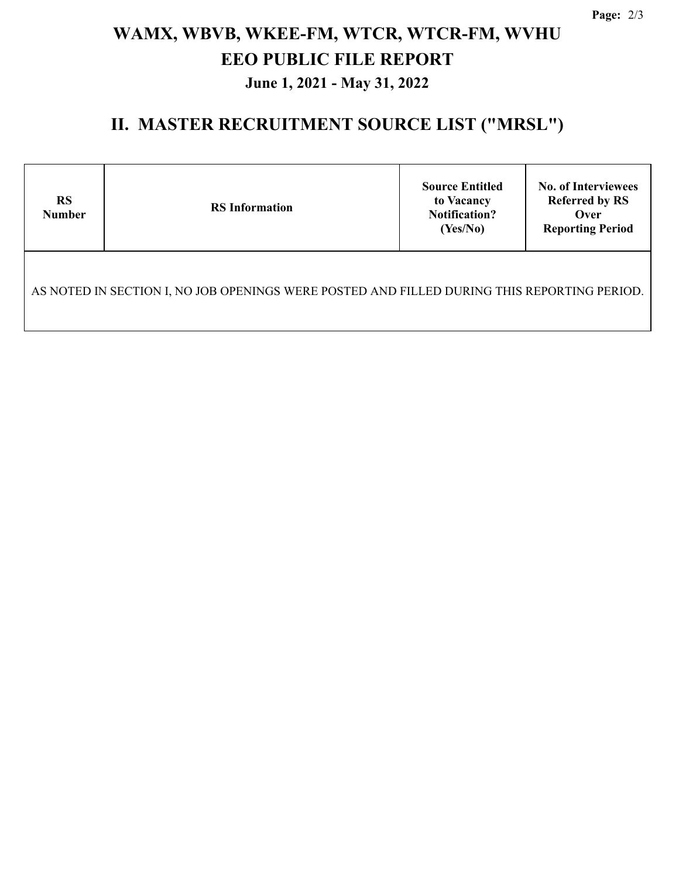# **WAMX, WBVB, WKEE-FM, WTCR, WTCR-FM, WVHU EEO PUBLIC FILE REPORT June 1, 2021 - May 31, 2022**

### **II. MASTER RECRUITMENT SOURCE LIST ("MRSL")**

| <b>RS</b><br><b>Number</b>                                                                  | <b>RS</b> Information | <b>Source Entitled</b><br>to Vacancy<br><b>Notification?</b><br>(Yes/No) | <b>No. of Interviewees</b><br><b>Referred by RS</b><br>Over<br><b>Reporting Period</b> |  |  |  |  |
|---------------------------------------------------------------------------------------------|-----------------------|--------------------------------------------------------------------------|----------------------------------------------------------------------------------------|--|--|--|--|
| AS NOTED IN SECTION I, NO JOB OPENINGS WERE POSTED AND FILLED DURING THIS REPORTING PERIOD. |                       |                                                                          |                                                                                        |  |  |  |  |